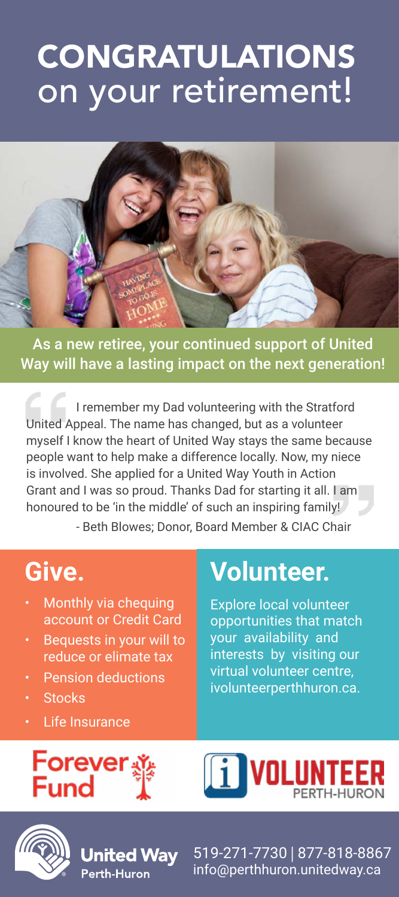# CONGRATULATIONS on your retirement!



As a new retiree, your continued support of United Way will have a lasting impact on the next generation!

I remember my Dad volunteering with the Stratford United Appeal. The name has changed, but as a volunteer myself I know the heart of United Way stays the same because people want to help make a difference locally. Now, my niece is involved. She applied for a United Way Youth in Action Grant and I was so proud. Thanks Dad for starting it all. I am honoured to be 'in the middle' of such an inspiring family! - Beth Blowes; Donor, Board Member & CIAC Chair

### **Give.**

- Monthly via chequing account or Credit Card
- Bequests in your will to reduce or elimate tax
- Pension deductions
- **Stocks**
- **Life Insurance**

## **Volunteer.**

Explore local volunteer opportunities that match your availability and interests by visiting our virtual volunteer centre, ivolunteerperthhuron.ca.



Jnited Wav Perth-Huron





519-271-7730 | 877-818-8867 info@perthhuron.unitedway.ca